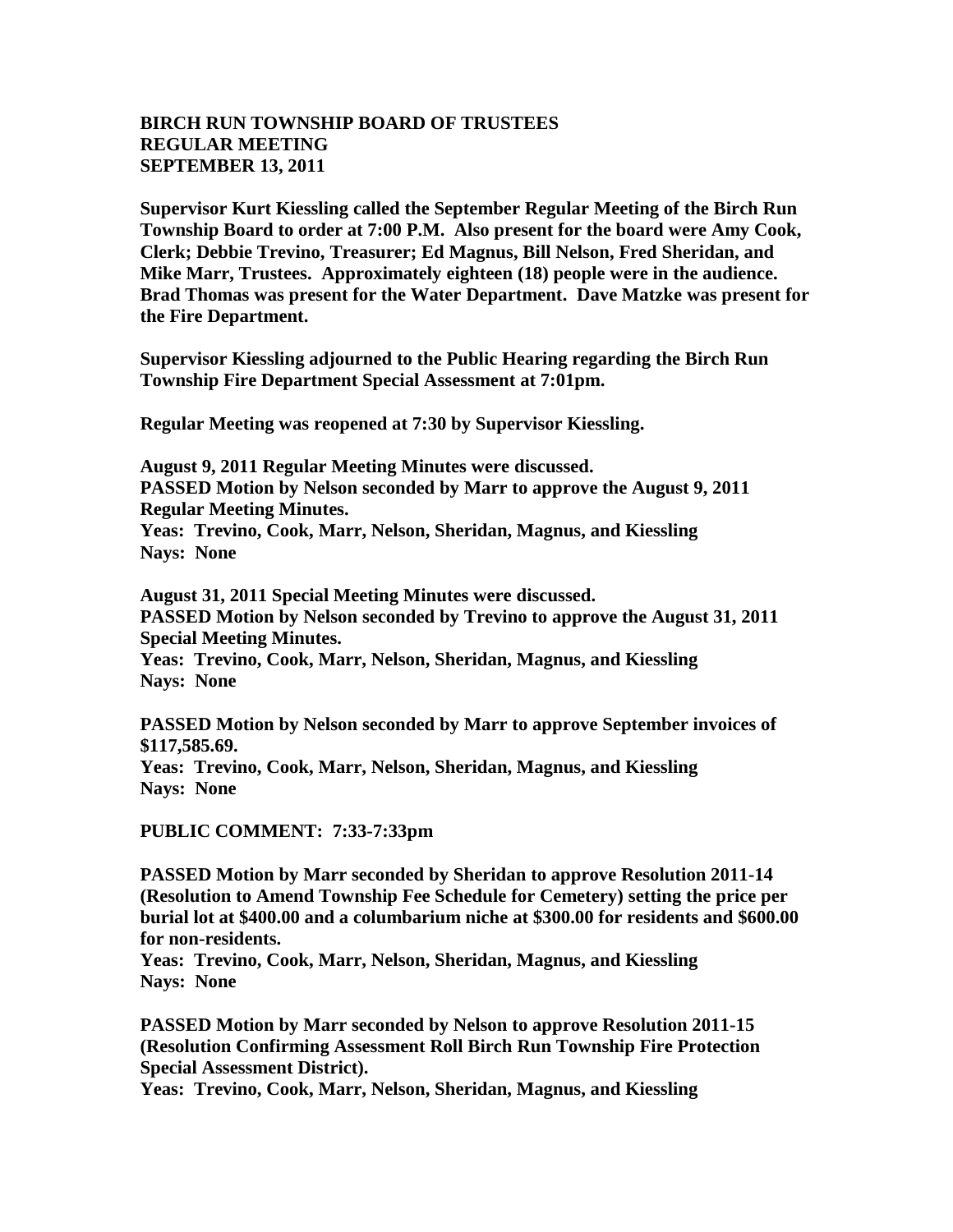## **BIRCH RUN TOWNSHIP BOARD OF TRUSTEES REGULAR MEETING SEPTEMBER 13, 2011**

**Supervisor Kurt Kiessling called the September Regular Meeting of the Birch Run Township Board to order at 7:00 P.M. Also present for the board were Amy Cook, Clerk; Debbie Trevino, Treasurer; Ed Magnus, Bill Nelson, Fred Sheridan, and Mike Marr, Trustees. Approximately eighteen (18) people were in the audience. Brad Thomas was present for the Water Department. Dave Matzke was present for the Fire Department.**

**Supervisor Kiessling adjourned to the Public Hearing regarding the Birch Run Township Fire Department Special Assessment at 7:01pm.**

**Regular Meeting was reopened at 7:30 by Supervisor Kiessling.**

**August 9, 2011 Regular Meeting Minutes were discussed. PASSED Motion by Nelson seconded by Marr to approve the August 9, 2011 Regular Meeting Minutes. Yeas: Trevino, Cook, Marr, Nelson, Sheridan, Magnus, and Kiessling Nays: None** 

**August 31, 2011 Special Meeting Minutes were discussed. PASSED Motion by Nelson seconded by Trevino to approve the August 31, 2011 Special Meeting Minutes. Yeas: Trevino, Cook, Marr, Nelson, Sheridan, Magnus, and Kiessling Nays: None** 

**PASSED Motion by Nelson seconded by Marr to approve September invoices of \$117,585.69.**

**Yeas: Trevino, Cook, Marr, Nelson, Sheridan, Magnus, and Kiessling Nays: None** 

**PUBLIC COMMENT: 7:33-7:33pm**

**PASSED Motion by Marr seconded by Sheridan to approve Resolution 2011-14 (Resolution to Amend Township Fee Schedule for Cemetery) setting the price per burial lot at \$400.00 and a columbarium niche at \$300.00 for residents and \$600.00 for non-residents.**

**Yeas: Trevino, Cook, Marr, Nelson, Sheridan, Magnus, and Kiessling Nays: None** 

**PASSED Motion by Marr seconded by Nelson to approve Resolution 2011-15 (Resolution Confirming Assessment Roll Birch Run Township Fire Protection Special Assessment District).**

**Yeas: Trevino, Cook, Marr, Nelson, Sheridan, Magnus, and Kiessling**